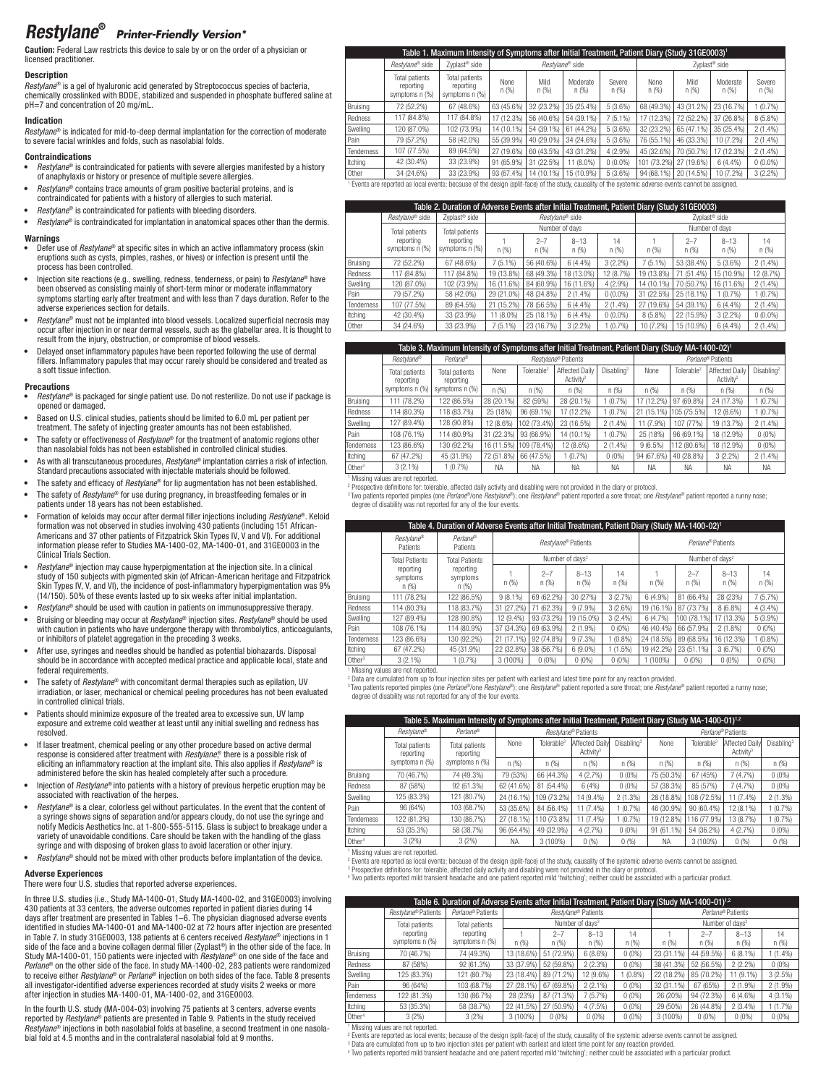# Restylane® *Printer-Friendly Version\**

Caution: Federal Law restricts this device to sale by or on the order of a physician or licensed practitioner.

## **Description**

*Restylane*® is a gel of hyaluronic acid generated by Streptococcus species of bacteria, chemically crosslinked with BDDE, stabilized and suspended in phosphate buffered saline at pH=7 and concentration of 20 mg/mL.

## Indication

*Restylane*® is indicated for mid-to-deep dermal implantation for the correction of moderate to severe facial wrinkles and folds, such as nasolabial folds.

## Contraindications

- *Restylane®* is contraindicated for patients with severe allergies manifested by a history of anaphylaxis or history or presence of multiple severe allergies.
- Restylane<sup>®</sup> contains trace amounts of gram positive bacterial proteins, and is contraindicated for patients with a history of allergies to such material.
- Restylane<sup>®</sup> is contraindicated for patients with bleeding disorders.
- • *Restylane*® is contraindicated for implantation in anatomical spaces other than the dermis.

#### **Warnings**

- • Defer use of *Restylane*® at specific sites in which an active inflammatory process (skin eruptions such as cysts, pimples, rashes, or hives) or infection is present until the process has been controlled.
- • Injection site reactions (e.g., swelling, redness, tenderness, or pain) to *Restylane*® have been observed as consisting mainly of short-term minor or moderate inflammatory symptoms starting early after treatment and with less than 7 days duration. Refer to the adverse experiences section for details.
- • *Restylane*® must not be implanted into blood vessels. Localized superficial necrosis may occur after injection in or near dermal vessels, such as the glabellar area. It is thought to result from the injury, obstruction, or compromise of blood vessels.
- Delayed onset inflammatory papules have been reported following the use of dermal fillers. Inflammatory papules that may occur rarely should be considered and treated as a soft tissue infection.

#### Precautions

- *Restylane*<sup>®</sup> is packaged for single patient use. Do not resterilize. Do not use if package is opened or damaged.
- Based on U.S. clinical studies, patients should be limited to 6.0 mL per patient per treatment. The safety of injecting greater amounts has not been established.
- The safety or effectiveness of *Restylane®* for the treatment of anatomic regions other than nasolabial folds has not been established in controlled clinical studies.
- As with all transcutaneous procedures, *Restylane*<sup>®</sup> implantation carries a risk of infection. Standard precautions associated with injectable materials should be followed.
- • The safety and efficacy of *Restylane*® for lip augmentation has not been established.
- The safety of *Restylane®* for use during pregnancy, in breastfeeding females or in patients under 18 years has not been established.
- • Formation of keloids may occur after dermal filler injections including *Restylane*®. Keloid formation was not observed in studies involving 430 patients (including 151 African-Americans and 37 other patients of Fitzpatrick Skin Types IV, V and VI). For additional information please refer to Studies MA-1400-02, MA-1400-01, and 31GE0003 in the Clinical Trials Section.
- • *Restylane*® injection may cause hyperpigmentation at the injection site. In a clinical study of 150 subjects with pigmented skin (of African-American heritage and Fitzpatrick Skin Types IV, V, and VI), the incidence of post-inflammatory hyperpigmentation was 9% (14/150). 50% of these events lasted up to six weeks after initial implantation.
- Restylane<sup>®</sup> should be used with caution in patients on immunosuppressive therapy. • Bruising or bleeding may occur at *Restylane*® injection sites. *Restylane*® should be used with caution in patients who have undergone therapy with thrombolytics, anticoagulants, or inhibitors of platelet aggregation in the preceding 3 weeks.
- After use, syringes and needles should be handled as potential biohazards. Disposal should be in accordance with accepted medical practice and applicable local, state and federal requirements.
- The safety of *Restylane®* with concomitant dermal therapies such as epilation, UV irradiation, or laser, mechanical or chemical peeling procedures has not been evaluated in controlled clinical trials.
- • Patients should minimize exposure of the treated area to excessive sun, UV lamp exposure and extreme cold weather at least until any initial swelling and redness has resolved.
- If laser treatment, chemical peeling or any other procedure based on active dermal response is considered after treatment with *Restylane*,<sup>®</sup> there is a possible risk of eliciting an inflammatory reaction at the implant site. This also applies if *Restylane*® is administered before the skin has healed completely after such a procedure.
- • Injection of *Restylane*® into patients with a history of previous herpetic eruption may be sociated with reactivation of the herpes.
- *Restylane®* is a clear, colorless gel without particulates. In the event that the content of a syringe shows signs of separation and/or appears cloudy, do not use the syringe and notify Medicis Aesthetics Inc. at 1-800-555-5115. Glass is subject to breakage under a variety of unavoidable conditions. Care should be taken with the handling of the glass syringe and with disposing of broken glass to avoid laceration or other injury.
- *Restylane*<sup>®</sup> should not be mixed with other products before implantation of the device.

## Adverse Experiences

There were four U.S. studies that reported adverse experiences.

In three U.S. studies (i.e., Study MA-1400-01, Study MA-1400-02, and 31GE0003) involving 430 patients at 33 centers, the adverse outcomes reported in patient diaries during 14 days after treatment are presented in Tables 1–6. The physician diagnosed adverse events identified in studies MA-1400-01 and MA-1400-02 at 72 hours after injection are presented in Table 7. In study 31GE0003, 138 patients at 6 centers received *Restylane*® injections in 1 side of the face and a bovine collagen dermal filler (Zyplast®) in the other side of the face. In Study MA-1400-01, 150 patients were injected with *Restylane*® on one side of the face and *Perlane*® on the other side of the face. In study MA-1400-02, 283 patients were randomized to receive either *Restylane*® or *Perlane*® injection on both sides of the face. Table 8 presents all investigator-identified adverse experiences recorded at study visits 2 weeks or more after injection in studies MA-1400-01, MA-1400-02, and 31GE0003.

In the fourth U.S. study (MA-004-03) involving 75 patients at 3 centers, adverse events reported by *Restylane*® patients are presented in Table 9. Patients in the study received *Restylane*® injections in both nasolabial folds at baseline, a second treatment in one nasolabial fold at 4.5 months and in the contralateral nasolabial fold at 9 months.

|            | 160003) Table 1. Maximum Intensity of Symptoms after Initial Treatment, Patient Diary (Study 31GE0003)                                                   |                                               |               |                 |                   |                |                           |              |                  |                 |  |
|------------|----------------------------------------------------------------------------------------------------------------------------------------------------------|-----------------------------------------------|---------------|-----------------|-------------------|----------------|---------------------------|--------------|------------------|-----------------|--|
|            | Restylane® side                                                                                                                                          | Zyplast <sup>®</sup> side                     |               |                 | Restvlane® side   |                | Zyplast <sup>®</sup> side |              |                  |                 |  |
|            | Total patients<br>reporting<br>symptoms n (%)                                                                                                            | Total patients<br>reporting<br>symptoms n (%) | None<br>n (%) | Mild<br>n (%)   | Moderate<br>n (%) | Severe<br>n(%) | None<br>n (%)             | Mild<br>n(%) | Moderate<br>n(%) | Severe<br>n (%) |  |
| Bruising   | 72 (52.2%)                                                                                                                                               | 67 (48.6%)                                    | 63 (45.6%)    | 32 (23.2%)      | 35 (25.4%)        | 5(3.6%)        | 68 (49.3%)                | 43 (31.2%)   | 23 (16.7%)       | (0.7%           |  |
| Redness    | 117 (84.8%)                                                                                                                                              | 117 (84.8%)                                   | 17 (12.3%)    | 56 (40.6%)      | 54 (39.1%)        | $7(5.1\%)$     | 17 (12.3%)                | 72 (52.2%)   | 37 (26.8%)       | $8(5.8\%)$      |  |
| Swelling   | 120 (87.0%)                                                                                                                                              | 102 (73.9%)                                   | 14 (10.1%)    | 54 (39.1%)      | 61 (44.2%)        | 5(3.6%)        | 32 (23.2%)                | 65 (47.1%)   | 35 (25.4%)       | $2(1.4\%)$      |  |
| Pain       | 79 (57.2%)                                                                                                                                               | 58 (42.0%)                                    | 55 (39.9%)    | 40 (29.0%)      | 34 (24.6%)        | 5(3.6%)        | 76 (55.1%)                | 46 (33.3%)   | 10 (7.2%)        | $2(1.4\%)$      |  |
| Tenderness | 107 (77.5%)                                                                                                                                              | 89 (64.5%)                                    | 27 (19.6%)    | 60 (43.5%)      | 43 (31.2%)        | 4(2.9%)        | 45 (32.6%)                | 70 (50.7%)   | 17 (12.3%)       | $2(1.4\%)$      |  |
| Itching    | 42 (30.4%)                                                                                                                                               | 33 (23.9%)                                    | 91 (65.9%)    | (22.5%)<br>1 31 | 11 (8.0%)         | $0(0.0\%)$     | 101 (73.2%) 27 (19.6%)    |              | 6(4.4%           | $0(0.0\%)$      |  |
| Other      | 34 (24.6%)                                                                                                                                               | 33 (23.9%)                                    | 93 (67.4%)    | 14 (10.1%)      | 15 (10.9%)        | 5(3.6%)        | 94 (68.1%)                | 20 (14.5%)   | 10 (7.2%)        | $3(2.2\%)$      |  |
|            | 1 Forsia are recented as level accepte because of the desire facili fors) of the stock consults of the contention adverse constants recent he accidental |                                               |               |                 |                   |                |                           |              |                  |                 |  |

are reported as local events; because of the design (split-face) of the study, causality of the systemic adverse events cannot be assigned

|            |                             | Table 2. Duration of Adverse Events after Initial Treatment, Patient Diary (Study 31GE0003) |            |                 |                   |             |            |                 |                           |             |  |
|------------|-----------------------------|---------------------------------------------------------------------------------------------|------------|-----------------|-------------------|-------------|------------|-----------------|---------------------------|-------------|--|
|            | Restvlane® side             | Zvolast <sup>®</sup> side                                                                   |            |                 | Restvlane® side   |             |            |                 | Zyplast <sup>®</sup> side |             |  |
|            | Total patients              | Total patients                                                                              |            | Number of days  |                   |             |            |                 | Number of days            |             |  |
|            | reporting<br>symptoms n (%) | reporting<br>symptoms n (%)                                                                 | n(%)       | $2 - 7$<br>n(%) | $8 - 13$<br>n (%) | 14<br>n (%) | n(%)       | $2 - 7$<br>n(%) | $8 - 13$<br>n(%)          | 14<br>n (%) |  |
| Bruising   | 72 (52.2%)                  | 67 (48.6%)                                                                                  | $7(5.1\%)$ | 56 (40.6%)      | $6(4.4\%)$        | $3(2.2\%)$  | $7(5.1\%)$ | 53 (38.4%)      | 5(3.6%)                   | $2(1.4\%)$  |  |
| Redness    | 117 (84.8%)                 | 117 (84.8%)                                                                                 | 19 (13.8%) | 68 (49.3%)      | 18 (13.0%)        | 12 (8.7%)   | 19 (13.8%) | 71 (51.4%)      | 15 (10.9%)                | 12 (8.7%)   |  |
| Swelling   | 120 (87.0%)                 | 102 (73.9%)                                                                                 | 16 (11.6%) | 84 (60.9%)      | 16 (11.6%)        | 4(2.9%      | 14 (10.1%) | 70 (50.7%)      | 16 (11.6%)                | $2(1.4\%)$  |  |
| Pain       | 79 (57.2%)                  | 58 (42.0%)                                                                                  | 29 (21.0%) | 48 (34.8%)      | $2(1.4\%)$        | $0(0.0\%)$  | 31 (22.5%) | 25 (18.1%)      | (0.7%                     | (0.7%       |  |
| Tenderness | 107 (77.5%)                 | 89 (64.5%)                                                                                  | 21 (15.2%) | 78 (56.5%)      | 6(4.4%)           | $2(1.4\%)$  | 27 (19.6%) | 54 (39.1%)      | 6 (4.4%)                  | $2(1.4\%)$  |  |
| Itching    | 42 (30.4%)                  | 33 (23.9%)                                                                                  | 11 (8.0%)  | 25 (18.1%)      | 6(4.4%)           | $0(0.0\%)$  | 8 (5.8%)   | 22 (15.9%)      | $3(2.2\%)$                | $0(0.0\%)$  |  |
| Other      | 34 (24.6%)                  | 33 (23.9%)                                                                                  | $7(5.1\%)$ | 23 (16.7%)      | 3(2.2%)           | (0.7%       | 10 (7.2%)  | 15 (10.9%)      | 6 (4.4%)                  | $2(1.4\%)$  |  |

|                    |                             | Table 3. Maximum Intensity of Symptoms after Initial Treatment, Patient Diary (Study MA-1400-02) <sup>1</sup> |            |                        |                                                |                        |            |                        |                                                |                        |
|--------------------|-----------------------------|---------------------------------------------------------------------------------------------------------------|------------|------------------------|------------------------------------------------|------------------------|------------|------------------------|------------------------------------------------|------------------------|
|                    | Restvlane®                  | Perlane®                                                                                                      |            |                        | Restvlane® Patients                            |                        |            |                        | Perlane® Patients                              |                        |
|                    | Total patients<br>reporting | Total patients<br>reporting                                                                                   |            | Tolerable <sup>2</sup> | <b>Affected Daily</b><br>Activity <sup>2</sup> | Disabling <sup>2</sup> | None       | Tolerable <sup>2</sup> | <b>Affected Daily</b><br>Activity <sup>2</sup> | Disabling <sup>2</sup> |
|                    | symptoms n (%)              | symptoms n (%)                                                                                                | n(%)       | n(%)                   | n(%)                                           | n (%)                  | n(%)       | n(%)                   | n(% )                                          | n (%)                  |
| Bruising           | $(78.2\%)$<br>111           | 122 (86.5%)                                                                                                   | 28 (20.1%) | 82 (59%)               | 28 (20.1%)                                     | (0.7%                  | 17 (12.2%) | 97 (69.8%)             | 24 (17.3%)                                     | (0.7%                  |
| Redness            | 14 (80.3%)                  | 118 (83.7%)                                                                                                   | 25 (18%)   | 96 (69.1%)             | 17 (12.2%)                                     | (0.7%                  | 21 (15.1%) | 05 (75.5%)             | 12 (8.6%)                                      | (0.7%                  |
| Swelling           | 127 (89.4%)                 | 128 (90.8%)                                                                                                   | 12 (8.6%)  | 102 (73.4%)            | 23 (16.5%)                                     | $2(1.4\%)$             | 11 (7.9%)  | 107 (77%)              | 19 (13.7%)                                     | $2(1.4\%)$             |
| Pain               | 108 (76.1%)                 | 114 (80.9%)                                                                                                   | 31 (22.3%) | 93 (66.9%)             | 14 (10.1%)                                     | (0.7%                  | 25 (18%)   | 96 (69.1%)             | 18 (12.9%)                                     | $0(0\%)$               |
| Tenderness         | 123 (86.6%)                 | 130 (92.2%)                                                                                                   | 16 (11.5%) | 109 (78.4%)            | 12 (8.6%)                                      | $2(1.4\%)$             | $9(6.5\%)$ | 112 (80.6%)            | 18 (12.9%)                                     | $0(0\%)$               |
| Itching            | (47.2%)<br>67               | 45 (31.9%)                                                                                                    | 72 (51.8%) | 66 (47.5%)             | 1(0.7%                                         | $0(0\%)$               | 94 (67.6%) | 40 (28.8%)             | $3(2.2\%)$                                     | $2(1.4\%)$             |
| Other <sup>3</sup> | $3(2.1\%)$                  | 1(0.7%                                                                                                        | <b>NA</b>  | NΑ                     | <b>NA</b>                                      | <b>NA</b>              | NΑ         | ΝA                     | <b>NA</b>                                      | <b>NA</b>              |

1 Missing values are not reported.

<sup>2</sup> Prospective definitions for: tolerable, affected daily activity and disabling were not provided in the diary or protocol.<br><sup>3</sup>Two patients reported pimples (one *Perlane®)*one *Restylane®*); one *Restylane®* patient rep

degree of disability was not reported for any of the four events.

|                    | Table 4. Duration of Adverse Events after Initial Treatment, Patient Diary (Study MA-1400-02) <sup>1</sup> |                                |                             |                 |                     |            |                   |                             |                  |             |  |
|--------------------|------------------------------------------------------------------------------------------------------------|--------------------------------|-----------------------------|-----------------|---------------------|------------|-------------------|-----------------------------|------------------|-------------|--|
|                    | Restvlane®<br>Patients                                                                                     | Perlane®<br>Patients           |                             |                 | Restylane® Patients |            | Perlane® Patients |                             |                  |             |  |
|                    | <b>Total Patients</b>                                                                                      | <b>Total Patients</b>          | Number of davs <sup>2</sup> |                 |                     |            |                   | Number of davs <sup>2</sup> |                  |             |  |
|                    | reporting<br>symptoms<br>n (%)                                                                             | reporting<br>symptoms<br>n (%) | n (%)                       | $2 - 7$<br>n(%) | $8 - 13$<br>n(%)    | 14<br>n(%) | n(%)              | $2 - 7$<br>n(%)             | $8 - 13$<br>n(%) | 14<br>n (%) |  |
| Bruising           | 111 (78.2%)                                                                                                | 122 (86.5%)                    | $9(8.1\%)$                  | 69 (62.2%)      | 30 (27%)            | 3(2.7%)    | 6 (4.9%)          | 81 (66.4%)                  | 28 (23%)         | 7(5.7%)     |  |
| Redness            | 114 (80.3%)                                                                                                | 118 (83.7%)                    | 31 (27.2%)                  | 71<br>(62.3%)   | $9(7.9\%)$          | $3(2.6\%)$ | 19 (16.1%)        | 87 (73.7%)                  | $8(6.8\%)$       | 4(3.4%)     |  |
| Swelling           | 127 (89.4%)                                                                                                | 128 (90.8%)                    | 12 (9.4%)                   | 93 (73.2%)      | 19 (15.0%)          | $3(2.4\%)$ | 6 (4.7%)          | 100 (78.1%)                 | (13.3%)          | $5(3.9\%)$  |  |
| Pain               | 108 (76.1%)                                                                                                | 114 (80.9%)                    | 37 (34.3%)                  | 69 (63.9%)      | $2(1.9\%)$          | $0(0\%)$   | 46 (40.4%)        | 66 (57.9%)                  | $2(1.8\%)$       | $0(0\%)$    |  |
| Tenderness         | 123 (86.6%)                                                                                                | 130 (92.2%)                    | 21 (17.1%)                  | 92 (74.8%)      | 9(7.3%)             | $(0.8\%)$  | 24 (18.5%)        | 89 (68.5%)                  | 16 (12.3%)       | $(0.8\%)$   |  |
| Itching            | 67 (47.2%)                                                                                                 | 45 (31.9%)                     | 22 (32.8%)                  | 38 (56.7%)      | $6(9.0\%)$          | $(1.5\%)$  | 19 (42.2%)        | 23 (51.1%)                  | 3(6.7%)          | $0(0\%)$    |  |
| Other <sup>3</sup> | $3(2.1\%)$                                                                                                 | (0.7%                          | 3 (100%)                    | $0(0\%)$        | $0(0\%)$            | 0(0%       | $(100\%)$         | $0(0\%)$                    | $0(0\%)$         | $0(0\%)$    |  |

1 Missing values are not reported.

<sup>2</sup> Data are cumulated from up to four injection sites per patient with earliest and latest time point for any reaction provided.<br><sup>3</sup>Two patients reported pimples (one *Perlane®)*one *Restylane®*); one *Restylane®* patient degree of disability was not reported for any of the four events.

|                    |                                    | Table 5. Maximum Intensity of Symptoms after Initial Treatment, Patient Diary (Study MA-1400-01) <sup>1,2</sup> |                     |                        |                                                |                        |            |                        |                                                |                        |  |
|--------------------|------------------------------------|-----------------------------------------------------------------------------------------------------------------|---------------------|------------------------|------------------------------------------------|------------------------|------------|------------------------|------------------------------------------------|------------------------|--|
|                    | Restylane®                         | Perlane®                                                                                                        | Restvlane® Patients |                        |                                                |                        |            | Perlane® Patients      |                                                |                        |  |
|                    | <b>Total patients</b><br>reporting | <b>Total patients</b><br>reporting                                                                              | None                | Tolerable <sup>3</sup> | <b>Affected Daily</b><br>Activity <sup>3</sup> | Disabling <sup>3</sup> | None       | Tolerable <sup>3</sup> | <b>Affected Daily</b><br>Activity <sup>3</sup> | Disabling <sup>3</sup> |  |
|                    | symptoms n (%)                     | symptoms n (%)                                                                                                  | n(%)                | n(%)                   | n(%)                                           | n(%)                   | n(%)       | n (%)                  | n (%)                                          | n (%)                  |  |
| Bruising           | 70 (46.7%)                         | 74 (49.3%)                                                                                                      | 79 (53%)            | 66 (44.3%)             | 4(2.7%)                                        | $0(0\%)$               | 75 (50.3%) | 67 (45%)               | 7(4.7%)                                        | $0(0\%)$               |  |
| Redness            | 87 (58%)                           | 92 (61.3%)                                                                                                      | 62 (41.6%)          | 81 (54.4%)             | 6 (4%)                                         | $0(0\%)$               | 57 (38.3%) | 85 (57%)               | 7(4.7%)                                        | $0(0\%)$               |  |
| Swelling           | 125 (83.3%)                        | 121 (80.7%)                                                                                                     | 24 (16.1%)          | 109 (73.2%)            | 14 (9.4%)                                      | $2(1.3\%)$             | 28 (18.8%) | 108 (72.5%)            | 11(7.4%                                        | $2(1.3\%)$             |  |
| Pain               | 96 (64%)                           | 103 (68.7%)                                                                                                     | 53 (35.6%)          | 84 (56.4%)             | 11 (7.4%)                                      | (0.7%                  | 46 (30.9%) | 90 (60.4%)             | 12 (8.1%)                                      | (0.7%                  |  |
| Tenderness         | 122 (81.3%)                        | 130 (86.7%)                                                                                                     | 27 (18.1%)          | 110 (73.8%)            | 11 (7.4%)                                      | (0.7%                  | 19 (12.8%) | 116 (77.9%)            | 13 (8.7%)                                      | (0.7%                  |  |
| Itching            | 53 (35.3%)                         | 58 (38.7%)                                                                                                      | 96 (64.4%)          | 49 (32.9%)             | 4(2.7%)                                        | $0(0\%)$               | 91 (61.1%) | 54 (36.2%)             | 4(2.7%)                                        | $0(0\%)$               |  |
| Other <sup>4</sup> | 3(2%)                              | 3(2%)                                                                                                           | NΑ                  | 3 (100%)               | 0(%)                                           | 0(%)                   | <b>NA</b>  | 3 (100%)               | 0(%)                                           | 0(%)                   |  |

1 Missing values are not reported.

2 Events are reported as local events; because of the design (split-face) of the study, causality of the systemic adverse events cannot be assigned. <sup>s</sup> Prospective definitions for: tolerable, affected daily activity and disabling were not provided in the diary or protocol.<br><sup>4</sup> Two patients reported mild transient headache and one patient reported mild 'twitching'; nei

|                    | Table 6. Duration of Adverse Events after Initial Treatment, Patient Diary (Study MA-1400-01) <sup>1,2</sup> |                   |                             |            |            |          |                             |            |            |            |  |
|--------------------|--------------------------------------------------------------------------------------------------------------|-------------------|-----------------------------|------------|------------|----------|-----------------------------|------------|------------|------------|--|
|                    | Restylane® Patients                                                                                          | Perlane® Patients | Restylane® Patients         |            |            |          | Perlane® Patients           |            |            |            |  |
|                    | Total patients                                                                                               | Total patients    | Number of days <sup>3</sup> |            |            |          | Number of davs <sup>3</sup> |            |            |            |  |
|                    | reporting<br>symptoms n (%)                                                                                  | reporting         |                             | $2 - 7$    | $8 - 13$   | 14       |                             | $2 - 7$    | $8 - 13$   | 14         |  |
|                    |                                                                                                              | symptoms n (%)    | n(%)                        | n(%)       | n(%)       | n(%)     | n(%)                        | n(%)       | $n$ (%)    | $n$ (%)    |  |
| Bruising           | 70 (46.7%)                                                                                                   | 74 (49.3%)        | 13 (18.6%)                  | 51 (72.9%) | 6(8.6%)    | 0(0%     | 23 (31.1%)                  | 44 (59.5%) | $6(8.1\%)$ | (1.4%)     |  |
| Redness            | 87 (58%)                                                                                                     | 92 (61.3%)        | 33 (37.9%)                  | 52 (59.8%) | $2(2.3\%)$ | $0(0\%)$ | 38 (41.3%)                  | 52 (56.5%) | $2(2.2\%)$ | $0(0\%)$   |  |
| Swelling           | 125 (83.3%)                                                                                                  | 121 (80.7%)       | 23 (18.4%)                  | 89 (71.2%) | 12 (9.6%)  | (0.8%    | 22 (18.2%)                  | 85 (70.2%) | 11 (9.1%)  | 3(2.5%)    |  |
| Pain               | 96 (64%)                                                                                                     | 103 (68.7%)       | 27 (28.1%)                  | 67 (69.8%) | $2(2.1\%)$ | 0(0%     | 32 (31.1%)                  | 67 (65%)   | $2(1.9\%)$ | 2(1.9%     |  |
| Tenderness         | 122 (81.3%)                                                                                                  | 130 (86.7%)       | 28 (23%)                    | 87 (71.3%) | 7 (5.7%)   | $0(0\%)$ | 26 (20%)                    | 94 (72.3%) | $6(4.6\%)$ | $4(3.1\%)$ |  |
| Itching            | 53 (35.3%)                                                                                                   | 58 (38.7%)        | 22 (41.5%)                  | 27 (50.9%) | 4(7.5%)    | $0(0\%)$ | 29 (50%)                    | 26 (44.8%) | 2(3.4%)    | (1.7%)     |  |
| Other <sup>4</sup> | 3(2%)                                                                                                        | $3(2\%)$          | 3 (100%)                    | $0(0\%)$   | $0(0\%)$   | $0(0\%)$ | 3 (100%)                    | $0(0\%)$   | $0(0\%)$   | $0(0\%)$   |  |

Missing values are not reported.

2 Events are reported as local events; because of the design (split-face) of the study, causality of the systemic adverse events cannot be assigned. <sup>s</sup> Data are cumulated from up to two injection sites per patient with earliest and latest time point for any reaction provided.<br><sup>4</sup> Two patients reported mild transient headache and one patient reported mild 'twitching';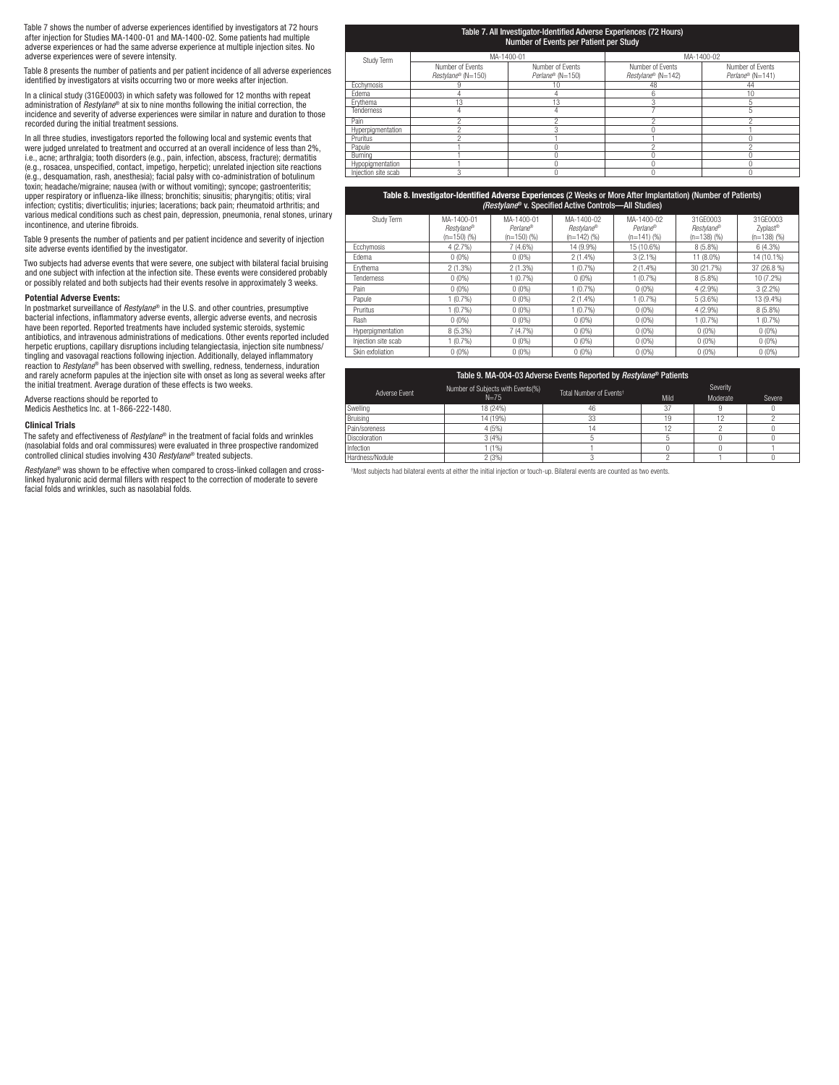Table 7 shows the number of adverse experiences identified by investigators at 72 hours after injection for Studies MA-1400‑01 and MA-1400-02. Some patients had multiple adverse experiences or had the same adverse experience at multiple injection sites. No adverse experiences were of severe intensity.

Table 8 presents the number of patients and per patient incidence of all adverse experiences identified by investigators at visits occurring two or more weeks after injection.

In a clinical study (31GE0003) in which safety was followed for 12 months with repeat administration of *Restylane*® at six to nine months following the initial correction, the incidence and severity of adverse experiences were similar in nature and duration to those recorded during the initial treatment sessions.

In all three studies, investigators reported the following local and systemic events that were judged unrelated to treatment and occurred at an overall incidence of less than 2%, i.e., acne; arthralgia; tooth disorders (e.g., pain, infection, abscess, fracture); dermatitis<br>(e.g., rosacea, unspecified, contact, impetigo, herpetic); unrelated injection site reactions<br>(e.g., desquamation, rash, anesth toxin; headache/migraine; nausea (with or without vomiting); syncope; gastroenteritis; upper respiratory or influenza-like illness; bronchitis; sinusitis; pharyngitis; otitis; viral infection; cystitis; diverticulitis; injuries; lacerations; back pain; rheumatoid arthritis; and various medical conditions such as chest pain, depression, pneumonia, renal stones, urinary incontinence, and uterine fibroids.

Table 9 presents the number of patients and per patient incidence and severity of injection site adverse events identified by the investigator.

Two subjects had adverse events that were severe, one subject with bilateral facial bruising and one subject with infection at the infection site. These events were considered probably or possibly related and both subjects had their events resolve in approximately 3 weeks.

## Potential Adverse Events:

In postmarket surveillance of *Restylane*® in the U.S. and other countries, presumptive bacterial infections, inflammatory adverse events, allergic adverse events, and necrosis have been reported. Reported treatments have included systemic steroids, systemic antibiotics, and intravenous administrations of medications. Other events reported included herpetic eruptions, capillary disruptions including telangiectasia, injection site numbness/ tingling and vasovagal reactions following injection. Additionally, delayed inflammatory reaction to *Restylane*® has been observed with swelling, redness, tenderness, induration and rarely acneform papules at the injection site with onset as long as several weeks after the initial treatment. Average duration of these effects is two weeks.

Adverse reactions should be reported to Medicis Aesthetics Inc. at 1-866-222-1480.

## Clinical Trials

The safety and effectiveness of *Restylane*® in the treatment of facial folds and wrinkles (nasolabial folds and oral commissures) were evaluated in three prospective randomized controlled clinical studies involving 430 *Restylane*® treated subjects.

*Restylane*® was shown to be effective when compared to cross-linked collagen and crosslinked hyaluronic acid dermal fillers with respect to the correction of moderate to severe facial folds and wrinkles, such as nasolabial folds.

|                     |                    | Table 7. All Investigator-Identified Adverse Experiences (72 Hours)<br>Number of Events per Patient per Study |                    |                  |  |  |  |
|---------------------|--------------------|---------------------------------------------------------------------------------------------------------------|--------------------|------------------|--|--|--|
| Study Term          | MA-1400-01         |                                                                                                               | MA-1400-02         |                  |  |  |  |
|                     | Number of Events   | Number of Events                                                                                              | Number of Events   | Number of Events |  |  |  |
|                     | Restvlane® (N=150) | Perlane® (N=150)                                                                                              | Restylane® (N=142) | Perlane® (N=141) |  |  |  |
| Ecchymosis          |                    | 10                                                                                                            | 48                 | 44               |  |  |  |
| Edema               |                    |                                                                                                               |                    | 10               |  |  |  |
| Ervthema            | 13                 | 13                                                                                                            |                    |                  |  |  |  |
| <b>Tenderness</b>   | 4                  |                                                                                                               |                    |                  |  |  |  |
| Pain                | Λ                  | c                                                                                                             |                    |                  |  |  |  |
| Hyperpigmentation   | Λ                  | 3                                                                                                             |                    |                  |  |  |  |
| Pruritus            |                    |                                                                                                               |                    |                  |  |  |  |
| Papule              |                    |                                                                                                               |                    |                  |  |  |  |
| Burning             |                    |                                                                                                               |                    |                  |  |  |  |
| Hypopigmentation    |                    |                                                                                                               |                    |                  |  |  |  |
| Injection site scab | 3                  |                                                                                                               |                    |                  |  |  |  |

|                     | Table 8. Investigator-Identified Adverse Experiences (2 Weeks or More After Implantation) (Number of Patients)<br>(Restylane® v. Specified Active Controls-All Studies) |                                       |                                           |                                         |                                         |                                                   |  |  |  |  |  |
|---------------------|-------------------------------------------------------------------------------------------------------------------------------------------------------------------------|---------------------------------------|-------------------------------------------|-----------------------------------------|-----------------------------------------|---------------------------------------------------|--|--|--|--|--|
| Study Term          | MA-1400-01<br>Restvlane®<br>$(n=150)$ (%)                                                                                                                               | MA-1400-01<br>Perlane®<br>$(n=150)(%$ | MA-1400-02<br>Restvlane®<br>$(n=142)$ (%) | MA-1400-02<br>Perlane®<br>$(n=141)$ (%) | 31GF0003<br>Restylane®<br>$(n=138)$ (%) | 31GF0003<br>Zyplast <sup>®</sup><br>$(n=138)$ (%) |  |  |  |  |  |
| Ecchymosis          | 4(2.7%)                                                                                                                                                                 | $7(4.6\%)$                            | 14 (9.9%)                                 | 15 (10.6%)                              | $8(5.8\%)$                              | 6(4.3%)                                           |  |  |  |  |  |
| Fdema               | $0(0\%)$                                                                                                                                                                | $0(0\%)$                              | $2(1.4\%)$                                | $3(2.1\%)$                              | 11 (8.0%)                               | 14 (10.1%)                                        |  |  |  |  |  |
| Ervthema            | 2(1.3%)                                                                                                                                                                 | 2(1.3%)                               | 1(0.7%)                                   | $2(1.4\%)$                              | 30 (21.7%)                              | 37 (26.8 %)                                       |  |  |  |  |  |
| Tenderness          | $0(0\%)$                                                                                                                                                                | 1(0.7%)                               | $0(0\%)$                                  | 1(0.7%)                                 | $8(5.8\%)$                              | 10 (7.2%)                                         |  |  |  |  |  |
| Pain                | $0(0\%)$                                                                                                                                                                | $0(0\%)$                              | 1(0.7%)                                   | $0(0\%)$                                | 4 (2.9%)                                | $3(2.2\%)$                                        |  |  |  |  |  |
| Papule              | 1(0.7%)                                                                                                                                                                 | $0(0\%)$                              | $2(1.4\%)$                                | 1(0.7%)                                 | 5(3.6%)                                 | 13 (9.4%)                                         |  |  |  |  |  |
| Pruritus            | 1(0.7%)                                                                                                                                                                 | $0(0\%)$                              | 1(0.7%                                    | $0(0\%)$                                | 4 (2.9%)                                | $8(5.8\%)$                                        |  |  |  |  |  |
| Rash                | $0(0\%)$                                                                                                                                                                | $0(0\%)$                              | $0(0\%)$                                  | $0(0\%)$                                | 1(0.7%)                                 | 1(0.7%)                                           |  |  |  |  |  |
| Hyperpigmentation   | $8(5.3\%)$                                                                                                                                                              | 7(4.7%)                               | $0(0\%)$                                  | $0(0\%)$                                | $0(0\%)$                                | $0(0\%)$                                          |  |  |  |  |  |
| Injection site scab | 1(0.7%)                                                                                                                                                                 | $0(0\%)$                              | $0(0\%)$                                  | $0(0\%)$                                | $0(0\%)$                                | $0(0\%)$                                          |  |  |  |  |  |
| Skin exfoliation    | $0(0\%)$                                                                                                                                                                | $0(0\%)$                              | $0(0\%)$                                  | $0(0\%)$                                | $0(0\%)$                                | $0(0\%)$                                          |  |  |  |  |  |

| Table 9. MA-004-03 Adverse Events Reported by Restylane® Patients |                                               |                                     |      |                      |        |  |  |  |  |
|-------------------------------------------------------------------|-----------------------------------------------|-------------------------------------|------|----------------------|--------|--|--|--|--|
| Adverse Fvent                                                     | Number of Subjects with Events(%)<br>$N = 75$ | Total Number of Events <sup>t</sup> | Mild | Severity<br>Moderate | Severe |  |  |  |  |
| Swelling                                                          | 18 (24%)                                      | 46                                  | 37   |                      |        |  |  |  |  |
| Bruisina                                                          | 14 (19%)                                      | 33                                  |      | 12                   |        |  |  |  |  |
| Pain/soreness                                                     | 4 (5%)                                        |                                     |      |                      |        |  |  |  |  |
| <b>Discoloration</b>                                              | 3(4%                                          |                                     |      |                      |        |  |  |  |  |
| Infection                                                         | (1%                                           |                                     |      |                      |        |  |  |  |  |
| Hardness/Nodule                                                   | 2 (3%)                                        |                                     |      |                      |        |  |  |  |  |

† Most subjects had bilateral events at either the initial injection or touch-up. Bilateral events are counted as two events.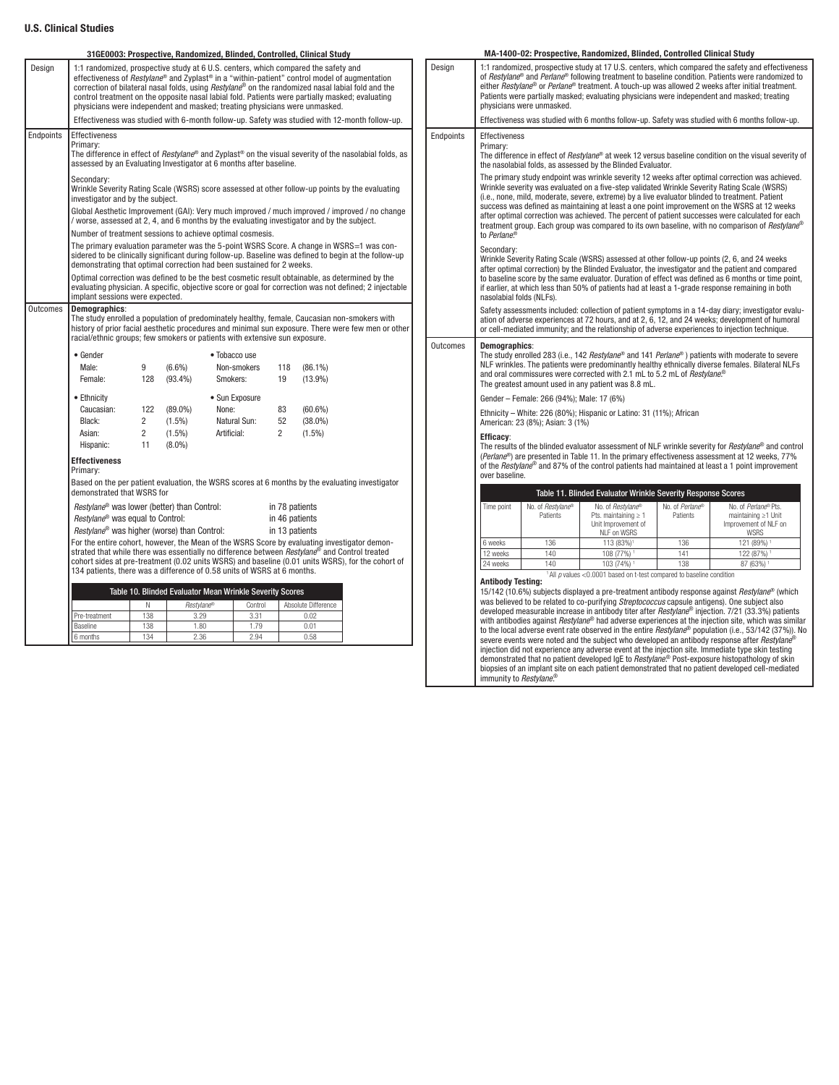## U.S. Clinical Studies

|           |                                                                                                                                                                                                                                                                               |                                                                                                                                                                                                                                                                                  | 31GE0003: Prospective, Randomized, Blinded, Controlled, Clinical Study                                                                                                                                                                                                                                                                                                                                                                                                                       |                |                |                                  |                                                                                                                |  |           |  |
|-----------|-------------------------------------------------------------------------------------------------------------------------------------------------------------------------------------------------------------------------------------------------------------------------------|----------------------------------------------------------------------------------------------------------------------------------------------------------------------------------------------------------------------------------------------------------------------------------|----------------------------------------------------------------------------------------------------------------------------------------------------------------------------------------------------------------------------------------------------------------------------------------------------------------------------------------------------------------------------------------------------------------------------------------------------------------------------------------------|----------------|----------------|----------------------------------|----------------------------------------------------------------------------------------------------------------|--|-----------|--|
| Design    |                                                                                                                                                                                                                                                                               |                                                                                                                                                                                                                                                                                  | 1:1 randomized, prospective study at 6 U.S. centers, which compared the safety and<br>effectiveness of <i>Restylane</i> ® and Zyplast® in a "within-patient" control model of augmentation<br>correction of bilateral nasal folds, using Restylane <sup>®</sup> on the randomized nasal labial fold and the<br>control treatment on the opposite nasal labial fold. Patients were partially masked: evaluating<br>physicians were independent and masked: treating physicians were unmasked. |                |                |                                  |                                                                                                                |  | Design    |  |
|           |                                                                                                                                                                                                                                                                               |                                                                                                                                                                                                                                                                                  | Effectiveness was studied with 6-month follow-up. Safety was studied with 12-month follow-up.                                                                                                                                                                                                                                                                                                                                                                                                |                |                |                                  |                                                                                                                |  |           |  |
| Endpoints | <b>Effectiveness</b><br>Primary:                                                                                                                                                                                                                                              |                                                                                                                                                                                                                                                                                  | assessed by an Evaluating Investigator at 6 months after baseline.                                                                                                                                                                                                                                                                                                                                                                                                                           |                |                |                                  | The difference in effect of <i>Restylane</i> ® and Zyplast® on the visual severity of the nasolabial folds, as |  | Endpoints |  |
|           | Secondary:<br>investigator and by the subject.                                                                                                                                                                                                                                |                                                                                                                                                                                                                                                                                  | Wrinkle Severity Rating Scale (WSRS) score assessed at other follow-up points by the evaluating                                                                                                                                                                                                                                                                                                                                                                                              |                |                |                                  |                                                                                                                |  |           |  |
|           |                                                                                                                                                                                                                                                                               |                                                                                                                                                                                                                                                                                  | / worse, assessed at 2, 4, and 6 months by the evaluating investigator and by the subject.<br>Number of treatment sessions to achieve optimal cosmesis.                                                                                                                                                                                                                                                                                                                                      |                |                |                                  | Global Aesthetic Improvement (GAI): Very much improved / much improved / improved / no change                  |  |           |  |
|           |                                                                                                                                                                                                                                                                               |                                                                                                                                                                                                                                                                                  | The primary evaluation parameter was the 5-point WSRS Score. A change in WSRS=1 was con-<br>sidered to be clinically significant during follow-up. Baseline was defined to begin at the follow-up<br>demonstrating that optimal correction had been sustained for 2 weeks.                                                                                                                                                                                                                   |                |                |                                  |                                                                                                                |  |           |  |
|           |                                                                                                                                                                                                                                                                               | Optimal correction was defined to be the best cosmetic result obtainable, as determined by the<br>evaluating physician. A specific, objective score or goal for correction was not defined; 2 injectable<br>implant sessions were expected.                                      |                                                                                                                                                                                                                                                                                                                                                                                                                                                                                              |                |                |                                  |                                                                                                                |  |           |  |
| Outcomes  | <b>Demographics:</b>                                                                                                                                                                                                                                                          | The study enrolled a population of predominately healthy, female, Caucasian non-smokers with<br>history of prior facial aesthetic procedures and minimal sun exposure. There were few men or other<br>racial/ethnic groups; few smokers or patients with extensive sun exposure. |                                                                                                                                                                                                                                                                                                                                                                                                                                                                                              |                |                |                                  |                                                                                                                |  |           |  |
|           | $\bullet$ Gender                                                                                                                                                                                                                                                              |                                                                                                                                                                                                                                                                                  |                                                                                                                                                                                                                                                                                                                                                                                                                                                                                              | • Tobacco use  |                |                                  |                                                                                                                |  | Outcomes  |  |
|           | Male:                                                                                                                                                                                                                                                                         | 9                                                                                                                                                                                                                                                                                | $(6.6\%)$                                                                                                                                                                                                                                                                                                                                                                                                                                                                                    | Non-smokers    | 118            | $(86.1\%)$                       |                                                                                                                |  |           |  |
|           | Female:                                                                                                                                                                                                                                                                       | 128                                                                                                                                                                                                                                                                              | $(93.4\%)$                                                                                                                                                                                                                                                                                                                                                                                                                                                                                   | Smokers:       | 19             | $(13.9\%)$                       |                                                                                                                |  |           |  |
|           | • Ethnicity                                                                                                                                                                                                                                                                   |                                                                                                                                                                                                                                                                                  |                                                                                                                                                                                                                                                                                                                                                                                                                                                                                              | • Sun Exposure |                |                                  |                                                                                                                |  |           |  |
|           | Caucasian:                                                                                                                                                                                                                                                                    | 122                                                                                                                                                                                                                                                                              | $(89.0\%)$<br>None:                                                                                                                                                                                                                                                                                                                                                                                                                                                                          |                | 83             | $(60.6\%)$                       |                                                                                                                |  |           |  |
|           | Black:                                                                                                                                                                                                                                                                        | $\overline{2}$                                                                                                                                                                                                                                                                   | $(1.5\%)$                                                                                                                                                                                                                                                                                                                                                                                                                                                                                    | Natural Sun:   | 52             | $(38.0\%)$                       |                                                                                                                |  |           |  |
|           | Asian:                                                                                                                                                                                                                                                                        | $\overline{2}$                                                                                                                                                                                                                                                                   | $(1.5\%)$                                                                                                                                                                                                                                                                                                                                                                                                                                                                                    | Artificial:    | $\overline{2}$ | $(1.5\%)$                        |                                                                                                                |  |           |  |
|           | Hispanic:                                                                                                                                                                                                                                                                     | 11                                                                                                                                                                                                                                                                               | $(8.0\%)$                                                                                                                                                                                                                                                                                                                                                                                                                                                                                    |                |                |                                  |                                                                                                                |  |           |  |
|           | <b>Effectiveness</b><br>Primary:                                                                                                                                                                                                                                              |                                                                                                                                                                                                                                                                                  |                                                                                                                                                                                                                                                                                                                                                                                                                                                                                              |                |                |                                  |                                                                                                                |  |           |  |
|           | demonstrated that WSRS for                                                                                                                                                                                                                                                    |                                                                                                                                                                                                                                                                                  | Based on the per patient evaluation, the WSRS scores at 6 months by the evaluating investigator                                                                                                                                                                                                                                                                                                                                                                                              |                |                |                                  |                                                                                                                |  |           |  |
|           | Restylane <sup>®</sup> was equal to Control:                                                                                                                                                                                                                                  |                                                                                                                                                                                                                                                                                  | Restylane <sup>®</sup> was lower (better) than Control:                                                                                                                                                                                                                                                                                                                                                                                                                                      |                |                | in 78 patients<br>in 46 patients |                                                                                                                |  |           |  |
|           |                                                                                                                                                                                                                                                                               | Restylane <sup>®</sup> was higher (worse) than Control:<br>in 13 patients<br>For the entire cohort, however, the Mean of the WSRS Score by evaluating investigator demon-                                                                                                        |                                                                                                                                                                                                                                                                                                                                                                                                                                                                                              |                |                |                                  |                                                                                                                |  |           |  |
|           | strated that while there was essentially no difference between Restylane® and Control treated<br>cohort sides at pre-treatment (0.02 units WSRS) and baseline (0.01 units WSRS), for the cohort of<br>134 patients, there was a difference of 0.58 units of WSRS at 6 months. |                                                                                                                                                                                                                                                                                  |                                                                                                                                                                                                                                                                                                                                                                                                                                                                                              |                |                |                                  |                                                                                                                |  |           |  |
|           |                                                                                                                                                                                                                                                                               | Table 10. Blinded Evaluator Mean Wrinkle Severity Scores                                                                                                                                                                                                                         |                                                                                                                                                                                                                                                                                                                                                                                                                                                                                              |                |                |                                  |                                                                                                                |  |           |  |
|           |                                                                                                                                                                                                                                                                               | N                                                                                                                                                                                                                                                                                | Restylane®                                                                                                                                                                                                                                                                                                                                                                                                                                                                                   | Control        |                | Absolute Difference              |                                                                                                                |  |           |  |
|           | Pre-treatment                                                                                                                                                                                                                                                                 | 138                                                                                                                                                                                                                                                                              | 3.29                                                                                                                                                                                                                                                                                                                                                                                                                                                                                         | 3.31           |                | 0.02                             |                                                                                                                |  |           |  |
|           | <b>Baseline</b>                                                                                                                                                                                                                                                               | 138                                                                                                                                                                                                                                                                              | 1.80                                                                                                                                                                                                                                                                                                                                                                                                                                                                                         | 1.79           |                | 0.01                             |                                                                                                                |  |           |  |
|           | 6 months                                                                                                                                                                                                                                                                      | 134                                                                                                                                                                                                                                                                              | 2.36                                                                                                                                                                                                                                                                                                                                                                                                                                                                                         | 2.94           |                | 0.58                             |                                                                                                                |  |           |  |

| Design    |                                                                                                                                                                                                                                                                                                                                                                                                                                                                                                                                                                                                                                                                                                                                            | physicians were unmasked.                 |                                                                                                                                             |                             | 1:1 randomized, prospective study at 17 U.S. centers, which compared the safety and effectiveness<br>of Restylane <sup>®</sup> and Perlane <sup>®</sup> following treatment to baseline condition. Patients were randomized to<br>either Restylane® or Perlane® treatment. A touch-up was allowed 2 weeks after initial treatment.<br>Patients were partially masked; evaluating physicians were independent and masked; treating                                                                    |  |  |  |  |
|-----------|--------------------------------------------------------------------------------------------------------------------------------------------------------------------------------------------------------------------------------------------------------------------------------------------------------------------------------------------------------------------------------------------------------------------------------------------------------------------------------------------------------------------------------------------------------------------------------------------------------------------------------------------------------------------------------------------------------------------------------------------|-------------------------------------------|---------------------------------------------------------------------------------------------------------------------------------------------|-----------------------------|------------------------------------------------------------------------------------------------------------------------------------------------------------------------------------------------------------------------------------------------------------------------------------------------------------------------------------------------------------------------------------------------------------------------------------------------------------------------------------------------------|--|--|--|--|
|           |                                                                                                                                                                                                                                                                                                                                                                                                                                                                                                                                                                                                                                                                                                                                            |                                           |                                                                                                                                             |                             | Effectiveness was studied with 6 months follow-up. Safety was studied with 6 months follow-up.                                                                                                                                                                                                                                                                                                                                                                                                       |  |  |  |  |
| Endpoints | <b>Effectiveness</b><br>Primary:                                                                                                                                                                                                                                                                                                                                                                                                                                                                                                                                                                                                                                                                                                           |                                           | the nasolabial folds, as assessed by the Blinded Evaluator.                                                                                 |                             | The difference in effect of <i>Restylane</i> ® at week 12 versus baseline condition on the visual severity of                                                                                                                                                                                                                                                                                                                                                                                        |  |  |  |  |
|           | to Perlane®                                                                                                                                                                                                                                                                                                                                                                                                                                                                                                                                                                                                                                                                                                                                |                                           | (i.e., none, mild, moderate, severe, extreme) by a live evaluator blinded to treatment. Patient                                             |                             | The primary study endpoint was wrinkle severity 12 weeks after optimal correction was achieved.<br>Wrinkle severity was evaluated on a five-step validated Wrinkle Severity Rating Scale (WSRS)<br>success was defined as maintaining at least a one point improvement on the WSRS at 12 weeks<br>after optimal correction was achieved. The percent of patient successes were calculated for each<br>treatment group. Each group was compared to its own baseline, with no comparison of Restylane® |  |  |  |  |
|           | Secondary:<br>nasolabial folds (NLFs).                                                                                                                                                                                                                                                                                                                                                                                                                                                                                                                                                                                                                                                                                                     |                                           |                                                                                                                                             |                             | Wrinkle Severity Rating Scale (WSRS) assessed at other follow-up points (2, 6, and 24 weeks<br>after optimal correction) by the Blinded Evaluator, the investigator and the patient and compared<br>to baseline score by the same evaluator. Duration of effect was defined as 6 months or time point,<br>if earlier, at which less than 50% of patients had at least a 1-grade response remaining in both                                                                                           |  |  |  |  |
|           | Safety assessments included: collection of patient symptoms in a 14-day diary; investigator evalu-<br>ation of adverse experiences at 72 hours, and at 2, 6, 12, and 24 weeks; development of humoral<br>or cell-mediated immunity; and the relationship of adverse experiences to injection technique.<br>Demographics:<br>The study enrolled 283 (i.e., 142 Restylane® and 141 Perlane®) patients with moderate to severe                                                                                                                                                                                                                                                                                                                |                                           |                                                                                                                                             |                             |                                                                                                                                                                                                                                                                                                                                                                                                                                                                                                      |  |  |  |  |
| Outcomes  |                                                                                                                                                                                                                                                                                                                                                                                                                                                                                                                                                                                                                                                                                                                                            |                                           | and oral commissures were corrected with 2.1 mL to 5.2 mL of Restylane. <sup>®</sup><br>The greatest amount used in any patient was 8.8 mL. |                             | NLF wrinkles. The patients were predominantly healthy ethnically diverse females. Bilateral NLFs                                                                                                                                                                                                                                                                                                                                                                                                     |  |  |  |  |
|           |                                                                                                                                                                                                                                                                                                                                                                                                                                                                                                                                                                                                                                                                                                                                            | Gender - Female: 266 (94%); Male: 17 (6%) |                                                                                                                                             |                             |                                                                                                                                                                                                                                                                                                                                                                                                                                                                                                      |  |  |  |  |
|           |                                                                                                                                                                                                                                                                                                                                                                                                                                                                                                                                                                                                                                                                                                                                            | American: 23 (8%); Asian: 3 (1%)          | Ethnicity - White: 226 (80%); Hispanic or Latino: 31 (11%); African                                                                         |                             |                                                                                                                                                                                                                                                                                                                                                                                                                                                                                                      |  |  |  |  |
|           | Efficacy:<br>over baseline.                                                                                                                                                                                                                                                                                                                                                                                                                                                                                                                                                                                                                                                                                                                |                                           |                                                                                                                                             |                             | The results of the blinded evaluator assessment of NLF wrinkle severity for <i>Restylane</i> <sup>®</sup> and control<br>(Perlane®) are presented in Table 11. In the primary effectiveness assessment at 12 weeks, 77%<br>of the Restylane® and 87% of the control patients had maintained at least a 1 point improvement                                                                                                                                                                           |  |  |  |  |
|           |                                                                                                                                                                                                                                                                                                                                                                                                                                                                                                                                                                                                                                                                                                                                            |                                           | Table 11. Blinded Evaluator Wrinkle Severity Response Scores                                                                                |                             |                                                                                                                                                                                                                                                                                                                                                                                                                                                                                                      |  |  |  |  |
|           | Time point                                                                                                                                                                                                                                                                                                                                                                                                                                                                                                                                                                                                                                                                                                                                 | No. of Restvlane®<br>Patients             | No. of Restylane®<br>Pts. maintaining $\geq 1$<br>Unit Improvement of<br>NLF on WSRS                                                        | No. of Perlane®<br>Patients | No. of Perlane® Pts.<br>maintaining ≥1 Unit<br>Improvement of NLF on<br>WSRS                                                                                                                                                                                                                                                                                                                                                                                                                         |  |  |  |  |
|           | 6 weeks                                                                                                                                                                                                                                                                                                                                                                                                                                                                                                                                                                                                                                                                                                                                    | 136                                       | 113 (83%) <sup>1</sup>                                                                                                                      | 136                         | 121 (89%) <sup>1</sup>                                                                                                                                                                                                                                                                                                                                                                                                                                                                               |  |  |  |  |
|           | 12 weeks                                                                                                                                                                                                                                                                                                                                                                                                                                                                                                                                                                                                                                                                                                                                   | 140                                       | 108 (77%) <sup>1</sup>                                                                                                                      | 141                         | 122 (87%) <sup>1</sup>                                                                                                                                                                                                                                                                                                                                                                                                                                                                               |  |  |  |  |
|           | 24 weeks                                                                                                                                                                                                                                                                                                                                                                                                                                                                                                                                                                                                                                                                                                                                   | 140                                       | 103 (74%) <sup>1</sup><br>$1$ All $p$ values < 0.0001 based on t-test compared to baseline condition                                        | 138                         | 87 (63%) 1                                                                                                                                                                                                                                                                                                                                                                                                                                                                                           |  |  |  |  |
|           | <b>Antibody Testing:</b>                                                                                                                                                                                                                                                                                                                                                                                                                                                                                                                                                                                                                                                                                                                   |                                           |                                                                                                                                             |                             |                                                                                                                                                                                                                                                                                                                                                                                                                                                                                                      |  |  |  |  |
|           | 15/142 (10.6%) subjects displayed a pre-treatment antibody response against Restylane® (which<br>was believed to be related to co-purifying Streptococcus capsule antigens). One subject also<br>developed measurable increase in antibody titer after Restylane® injection. 7/21 (33.3%) patients<br>with antibodies against <i>Restylane</i> <sup>®</sup> had adverse experiences at the injection site, which was similar<br>to the local adverse event rate observed in the entire Restylane® population (i.e., 53/142 (37%)). No<br>severe events were noted and the subject who developed an antibody response after Restylane®<br>injection did not experience any adverse event at the injection site. Immediate type skin testing |                                           |                                                                                                                                             |                             |                                                                                                                                                                                                                                                                                                                                                                                                                                                                                                      |  |  |  |  |
|           | demonstrated that no patient developed IgE to Restylane. <sup>®</sup> Post-exposure histopathology of skin<br>biopsies of an implant site on each patient demonstrated that no patient developed cell-mediated<br>immunity to Restylane. <sup>®</sup>                                                                                                                                                                                                                                                                                                                                                                                                                                                                                      |                                           |                                                                                                                                             |                             |                                                                                                                                                                                                                                                                                                                                                                                                                                                                                                      |  |  |  |  |

MA-1400-02: Prospective, Randomized, Blinded, Controlled Clinical Study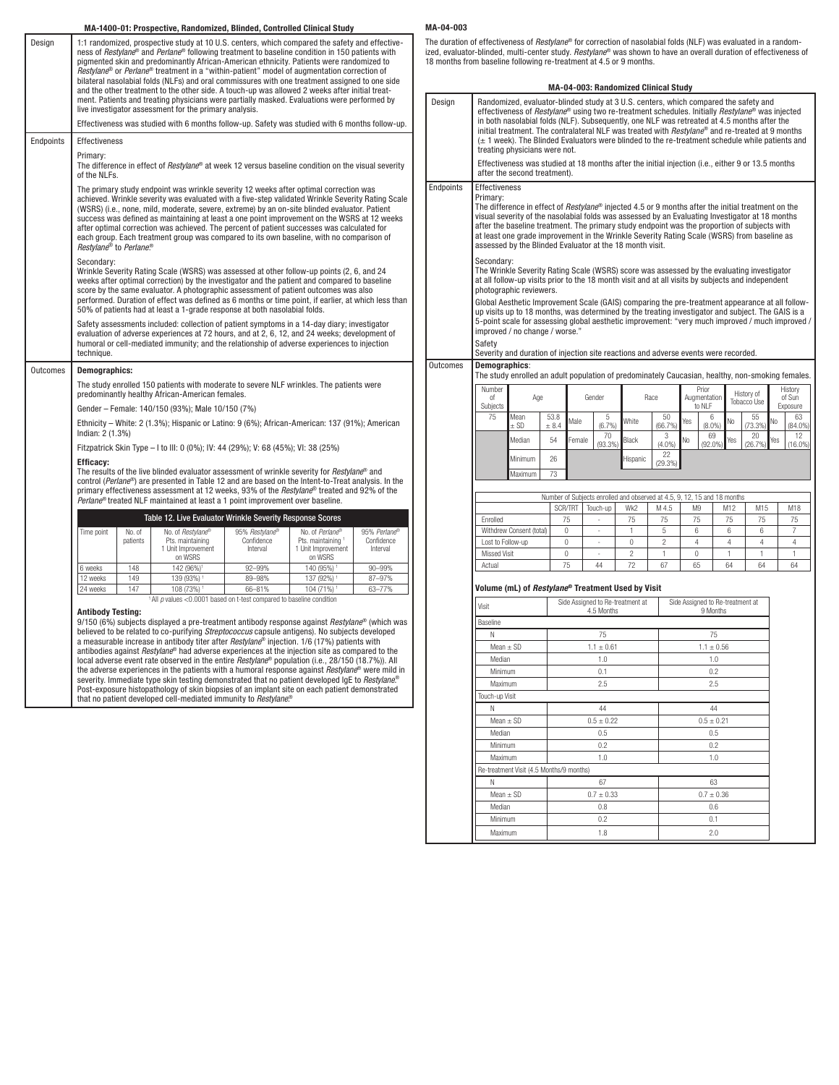## MA-1400-01: Prospective, Randomized, Blinded, Controlled Clinical Study

|           |                                                                                                                                                                                                                                                                                                                                                                                                                                                                                    |                    | mA 1400 01.1103pccuve, nanuomizea, Dimuea, Oonu onea Omnoar Otau j                                                                                                                                                                                                                                                                                                                                                                                                                                                                                                                                                                                                                                                                                                                                                                                                                                |                                          |                                                                        |                                        |                                          |  |  |
|-----------|------------------------------------------------------------------------------------------------------------------------------------------------------------------------------------------------------------------------------------------------------------------------------------------------------------------------------------------------------------------------------------------------------------------------------------------------------------------------------------|--------------------|---------------------------------------------------------------------------------------------------------------------------------------------------------------------------------------------------------------------------------------------------------------------------------------------------------------------------------------------------------------------------------------------------------------------------------------------------------------------------------------------------------------------------------------------------------------------------------------------------------------------------------------------------------------------------------------------------------------------------------------------------------------------------------------------------------------------------------------------------------------------------------------------------|------------------------------------------|------------------------------------------------------------------------|----------------------------------------|------------------------------------------|--|--|
| Design    |                                                                                                                                                                                                                                                                                                                                                                                                                                                                                    |                    | 1:1 randomized, prospective study at 10 U.S. centers, which compared the safety and effective-<br>ness of <i>Restylane</i> ® and <i>Perlane</i> ® following treatment to baseline condition in 150 patients with<br>pigmented skin and predominantly African-American ethnicity. Patients were randomized to<br>Restylane <sup>®</sup> or Perlane <sup>®</sup> treatment in a "within-patient" model of augmentation correction of<br>bilateral nasolabial folds (NLFs) and oral commissures with one treatment assigned to one side<br>and the other treatment to the other side. A touch-up was allowed 2 weeks after initial treat-<br>ment. Patients and treating physicians were partially masked. Evaluations were performed by<br>live investigator assessment for the primary analysis.<br>Effectiveness was studied with 6 months follow-up. Safety was studied with 6 months follow-up. |                                          |                                                                        |                                        | The d<br>ized,<br>18 <sub>m</sub><br>Des |  |  |
| Endpoints | <b>Effectiveness</b>                                                                                                                                                                                                                                                                                                                                                                                                                                                               |                    |                                                                                                                                                                                                                                                                                                                                                                                                                                                                                                                                                                                                                                                                                                                                                                                                                                                                                                   |                                          |                                                                        |                                        |                                          |  |  |
|           | Primary:<br>of the NLFs.                                                                                                                                                                                                                                                                                                                                                                                                                                                           |                    | The difference in effect of <i>Restylane</i> ® at week 12 versus baseline condition on the visual severity                                                                                                                                                                                                                                                                                                                                                                                                                                                                                                                                                                                                                                                                                                                                                                                        |                                          |                                                                        |                                        |                                          |  |  |
|           | Restvlane® to Perlane®                                                                                                                                                                                                                                                                                                                                                                                                                                                             |                    | The primary study endpoint was wrinkle severity 12 weeks after optimal correction was<br>achieved. Wrinkle severity was evaluated with a five-step validated Wrinkle Severity Rating Scale<br>(WSRS) (i.e., none, mild, moderate, severe, extreme) by an on-site blinded evaluator. Patient<br>success was defined as maintaining at least a one point improvement on the WSRS at 12 weeks<br>after optimal correction was achieved. The percent of patient successes was calculated for<br>each group. Each treatment group was compared to its own baseline, with no comparison of                                                                                                                                                                                                                                                                                                              |                                          |                                                                        |                                        | Endr                                     |  |  |
|           | Secondary:<br>Wrinkle Severity Rating Scale (WSRS) was assessed at other follow-up points (2, 6, and 24<br>weeks after optimal correction) by the investigator and the patient and compared to baseline<br>score by the same evaluator. A photographic assessment of patient outcomes was also<br>performed. Duration of effect was defined as 6 months or time point, if earlier, at which less than<br>50% of patients had at least a 1-grade response at both nasolabial folds. |                    |                                                                                                                                                                                                                                                                                                                                                                                                                                                                                                                                                                                                                                                                                                                                                                                                                                                                                                   |                                          |                                                                        |                                        |                                          |  |  |
|           | technique.                                                                                                                                                                                                                                                                                                                                                                                                                                                                         |                    | Safety assessments included: collection of patient symptoms in a 14-day diary; investigator<br>evaluation of adverse experiences at 72 hours, and at 2, 6, 12, and 24 weeks; development of<br>humoral or cell-mediated immunity; and the relationship of adverse experiences to injection                                                                                                                                                                                                                                                                                                                                                                                                                                                                                                                                                                                                        |                                          |                                                                        |                                        |                                          |  |  |
| Outcomes  | Demographics:                                                                                                                                                                                                                                                                                                                                                                                                                                                                      |                    |                                                                                                                                                                                                                                                                                                                                                                                                                                                                                                                                                                                                                                                                                                                                                                                                                                                                                                   |                                          |                                                                        |                                        | Outc                                     |  |  |
|           |                                                                                                                                                                                                                                                                                                                                                                                                                                                                                    |                    | The study enrolled 150 patients with moderate to severe NLF wrinkles. The patients were<br>predominantly healthy African-American females.                                                                                                                                                                                                                                                                                                                                                                                                                                                                                                                                                                                                                                                                                                                                                        |                                          |                                                                        |                                        |                                          |  |  |
|           |                                                                                                                                                                                                                                                                                                                                                                                                                                                                                    |                    | Gender - Female: 140/150 (93%); Male 10/150 (7%)                                                                                                                                                                                                                                                                                                                                                                                                                                                                                                                                                                                                                                                                                                                                                                                                                                                  |                                          |                                                                        |                                        |                                          |  |  |
|           | Indian: $2(1.3%)$                                                                                                                                                                                                                                                                                                                                                                                                                                                                  |                    | Ethnicity – White: 2 (1.3%); Hispanic or Latino: 9 (6%); African-American: 137 (91%); American                                                                                                                                                                                                                                                                                                                                                                                                                                                                                                                                                                                                                                                                                                                                                                                                    |                                          |                                                                        |                                        |                                          |  |  |
|           |                                                                                                                                                                                                                                                                                                                                                                                                                                                                                    |                    | Fitzpatrick Skin Type - I to III: 0 (0%); IV: 44 (29%); V: 68 (45%); VI: 38 (25%)                                                                                                                                                                                                                                                                                                                                                                                                                                                                                                                                                                                                                                                                                                                                                                                                                 |                                          |                                                                        |                                        |                                          |  |  |
|           | <b>Efficacy:</b><br>The results of the live blinded evaluator assessment of wrinkle severity for <i>Restylane</i> ® and<br>control (Perlane <sup>®</sup> ) are presented in Table 12 and are based on the Intent-to-Treat analysis. In the<br>primary effectiveness assessment at 12 weeks, 93% of the Restylane® treated and 92% of the<br>Perlane <sup>®</sup> treated NLF maintained at least a 1 point improvement over baseline.                                              |                    |                                                                                                                                                                                                                                                                                                                                                                                                                                                                                                                                                                                                                                                                                                                                                                                                                                                                                                   |                                          |                                                                        |                                        |                                          |  |  |
|           |                                                                                                                                                                                                                                                                                                                                                                                                                                                                                    |                    | Table 12. Live Evaluator Wrinkle Severity Response Scores                                                                                                                                                                                                                                                                                                                                                                                                                                                                                                                                                                                                                                                                                                                                                                                                                                         |                                          |                                                                        |                                        |                                          |  |  |
|           | Time point                                                                                                                                                                                                                                                                                                                                                                                                                                                                         | No. of<br>patients | No. of Restylane®<br>Pts. maintaining<br>1 Unit Improvement<br>on WSRS                                                                                                                                                                                                                                                                                                                                                                                                                                                                                                                                                                                                                                                                                                                                                                                                                            | 95% Restvlane®<br>Confidence<br>Interval | No. of Perlane®<br>Pts. maintaining 1<br>1 Unit Improvement<br>on WSRS | 95% Perlane®<br>Confidence<br>Interval |                                          |  |  |

|          | patients | Pts. maintaining<br>1 Unit Improvement<br>on WSRS | Confidence<br>Interval | Pts. maintaining<br>Unit Improvement<br>on WSRS | Confidence<br>Interval |  |  |
|----------|----------|---------------------------------------------------|------------------------|-------------------------------------------------|------------------------|--|--|
| 6 weeks  | 148      | 142 (96%) <sup>1</sup>                            | $92 - 99%$             | 140 (95%)                                       | $90 - 99%$             |  |  |
| 12 weeks | 149      | 139 (93%) <sup>1</sup>                            | 89-98%                 | 137 (92%)                                       | 87-97%                 |  |  |
| 24 weeks | 147      | 108 (73%) 1                                       | 66-81%                 | 104 (71%)                                       | 63-77%                 |  |  |
|          |          |                                                   |                        |                                                 |                        |  |  |

<sup>1</sup> All  $p$  values <0.0001 based on t-test compared to baseline condition

Antibody Testing: 9/150 (6%) subjects displayed a pre-treatment antibody response against *Restylane*® (which was believed to be related to co-purifying *Streptococcus* capsule antigens). No subjects developed a measurable increase in antibody titer after *Restylane*® injection. 1/6 (17%) patients with antibodies against *Restylane*® had adverse experiences at the injection site as compared to the local adverse event rate observed in the entire *Restylane*® population (i.e., 28/150 (18.7%)). All the adverse experiences in the patients with a humoral response against *Restylane*® were mild in severity. Immediate type skin testing demonstrated that no patient developed IgE to *Restylane*. ® Post-exposure histopathology of skin biopsies of an implant site on each patient demonstrated that no patient developed cell-mediated immunity to *Restylane*. ®

## MA-04-003

The duration of effectiveness of *Restylane*® for correction of nasolabial folds (NLF) was evaluated in a randomized, evaluator-blinded, multi-center study. *Restylane*® was shown to have an overall duration of effectiveness of 18 months from baseline following re-treatment at 4.5 or 9 months.

| Design                                                                                                                                                                                                                                                                                                                                                                                                                                                                                                                                  | <b>MA-04-003: Randomized Clinical Study</b><br>Randomized, evaluator-blinded study at 3 U.S. centers, which compared the safety and<br>effectiveness of <i>Restylane</i> ® using two re-treatment schedules. Initially <i>Restylane</i> ® was injected<br>in both nasolabial folds (NLF). Subsequently, one NLF was retreated at 4.5 months after the<br>initial treatment. The contralateral NLF was treated with Restylane® and re-treated at 9 months<br>$(\pm 1$ week). The Blinded Evaluators were blinded to the re-treatment schedule while patients and<br>treating physicians were not. |                                                           |                                          |                  |          |                |                                  |                      |                                 |                |                                              |                                  |               |                                                 |                  |
|-----------------------------------------------------------------------------------------------------------------------------------------------------------------------------------------------------------------------------------------------------------------------------------------------------------------------------------------------------------------------------------------------------------------------------------------------------------------------------------------------------------------------------------------|--------------------------------------------------------------------------------------------------------------------------------------------------------------------------------------------------------------------------------------------------------------------------------------------------------------------------------------------------------------------------------------------------------------------------------------------------------------------------------------------------------------------------------------------------------------------------------------------------|-----------------------------------------------------------|------------------------------------------|------------------|----------|----------------|----------------------------------|----------------------|---------------------------------|----------------|----------------------------------------------|----------------------------------|---------------|-------------------------------------------------|------------------|
|                                                                                                                                                                                                                                                                                                                                                                                                                                                                                                                                         | Effectiveness was studied at 18 months after the initial injection (i.e., either 9 or 13.5 months<br>after the second treatment).                                                                                                                                                                                                                                                                                                                                                                                                                                                                |                                                           |                                          |                  |          |                |                                  |                      |                                 |                |                                              |                                  |               |                                                 |                  |
| <b>Effectiveness</b><br>indpoints<br>Primary:<br>The difference in effect of <i>Restylane</i> ® injected 4.5 or 9 months after the initial treatment on the<br>visual severity of the nasolabial folds was assessed by an Evaluating Investigator at 18 months<br>after the baseline treatment. The primary study endpoint was the proportion of subjects with<br>at least one grade improvement in the Wrinkle Severity Rating Scale (WSRS) from baseline as<br>assessed by the Blinded Evaluator at the 18 month visit.<br>Secondary: |                                                                                                                                                                                                                                                                                                                                                                                                                                                                                                                                                                                                  |                                                           |                                          |                  |          |                |                                  |                      |                                 |                |                                              |                                  |               |                                                 |                  |
|                                                                                                                                                                                                                                                                                                                                                                                                                                                                                                                                         | The Wrinkle Severity Rating Scale (WSRS) score was assessed by the evaluating investigator<br>at all follow-up visits prior to the 18 month visit and at all visits by subjects and independent<br>photographic reviewers.                                                                                                                                                                                                                                                                                                                                                                       |                                                           |                                          |                  |          |                |                                  |                      |                                 |                |                                              |                                  |               |                                                 |                  |
|                                                                                                                                                                                                                                                                                                                                                                                                                                                                                                                                         | Global Aesthetic Improvement Scale (GAIS) comparing the pre-treatment appearance at all follow-<br>up visits up to 18 months, was determined by the treating investigator and subject. The GAIS is a<br>5-point scale for assessing global aesthetic improvement: "very much improved / much improved /<br>improved / no change / worse."<br>Safety                                                                                                                                                                                                                                              |                                                           |                                          |                  |          |                |                                  |                      |                                 |                |                                              |                                  |               |                                                 |                  |
|                                                                                                                                                                                                                                                                                                                                                                                                                                                                                                                                         | Severity and duration of injection site reactions and adverse events were recorded.                                                                                                                                                                                                                                                                                                                                                                                                                                                                                                              |                                                           |                                          |                  |          |                |                                  |                      |                                 |                |                                              |                                  |               |                                                 |                  |
| )utcomes                                                                                                                                                                                                                                                                                                                                                                                                                                                                                                                                | Demographics:<br>The study enrolled an adult population of predominately Caucasian, healthy, non-smoking females.                                                                                                                                                                                                                                                                                                                                                                                                                                                                                |                                                           |                                          |                  |          |                |                                  |                      |                                 |                |                                              |                                  |               |                                                 |                  |
|                                                                                                                                                                                                                                                                                                                                                                                                                                                                                                                                         | Number<br>οf<br><b>Subjects</b>                                                                                                                                                                                                                                                                                                                                                                                                                                                                                                                                                                  | Age                                                       |                                          | Gender           |          |                | Race                             |                      | Prior<br>Augmentation<br>to NLF |                |                                              | History of<br><b>Tobacco Use</b> |               | History<br>of Sun<br>Exposure                   |                  |
|                                                                                                                                                                                                                                                                                                                                                                                                                                                                                                                                         | 75                                                                                                                                                                                                                                                                                                                                                                                                                                                                                                                                                                                               | Mean<br>± SD                                              | 53.8<br>± 8.4                            | Male             |          | 5<br>(6.7%)    | White                            |                      | 50<br>(66.7%)                   | Yes            | 6<br>$(8.0\%)$                               | No                               | 55<br>(73.3%) | No                                              | 63<br>$(84.0\%)$ |
|                                                                                                                                                                                                                                                                                                                                                                                                                                                                                                                                         |                                                                                                                                                                                                                                                                                                                                                                                                                                                                                                                                                                                                  | Median                                                    | 54                                       | Female           |          | 70<br>(93.3%)  | Black                            |                      | 3<br>$(4.0\%)$                  | N <sub>o</sub> | 69<br>$(92.0\%)$                             | Yes                              | 20<br>(26.7%) | Yes                                             | 12               |
|                                                                                                                                                                                                                                                                                                                                                                                                                                                                                                                                         |                                                                                                                                                                                                                                                                                                                                                                                                                                                                                                                                                                                                  | Minimum<br>Maximum                                        | 26<br>73                                 |                  |          |                | Hispanic                         |                      | 22<br>(29.3%)                   |                |                                              |                                  |               |                                                 |                  |
|                                                                                                                                                                                                                                                                                                                                                                                                                                                                                                                                         | Number of Subjects enrolled and observed at 4.5, 9, 12, 15 and 18 months                                                                                                                                                                                                                                                                                                                                                                                                                                                                                                                         |                                                           |                                          |                  |          |                |                                  |                      |                                 |                |                                              |                                  |               |                                                 |                  |
|                                                                                                                                                                                                                                                                                                                                                                                                                                                                                                                                         |                                                                                                                                                                                                                                                                                                                                                                                                                                                                                                                                                                                                  |                                                           | SCR/TRT                                  |                  | Touch-up | Wk2            |                                  | M 4.5                | M <sub>9</sub>                  |                | M12                                          |                                  |               | M18                                             |                  |
|                                                                                                                                                                                                                                                                                                                                                                                                                                                                                                                                         | Enrolled                                                                                                                                                                                                                                                                                                                                                                                                                                                                                                                                                                                         |                                                           |                                          | 75               |          |                | 75                               |                      | 75                              | 75             |                                              | 75                               | 75            |                                                 | 75               |
|                                                                                                                                                                                                                                                                                                                                                                                                                                                                                                                                         | Lost to Follow-up                                                                                                                                                                                                                                                                                                                                                                                                                                                                                                                                                                                | Withdrew Consent (total)                                  |                                          | 0<br>$\sim$<br>0 |          |                | 1<br>0                           |                      | 5<br>$\overline{c}$             | 6<br>4         |                                              | 6<br>4                           |               |                                                 |                  |
|                                                                                                                                                                                                                                                                                                                                                                                                                                                                                                                                         | <b>Missed Visit</b>                                                                                                                                                                                                                                                                                                                                                                                                                                                                                                                                                                              |                                                           |                                          | $\bf 0$          |          | ä,             | $\overline{c}$                   |                      | $\mathbf{1}$                    | 0              |                                              | 1                                |               |                                                 |                  |
|                                                                                                                                                                                                                                                                                                                                                                                                                                                                                                                                         | Actual                                                                                                                                                                                                                                                                                                                                                                                                                                                                                                                                                                                           |                                                           |                                          | 75               |          | 44             | 72                               |                      | 67                              | 65             |                                              | 64                               | 64            |                                                 | 64               |
|                                                                                                                                                                                                                                                                                                                                                                                                                                                                                                                                         |                                                                                                                                                                                                                                                                                                                                                                                                                                                                                                                                                                                                  | Volume (mL) of <i>Restylane</i> ® Treatment Used by Visit |                                          |                  |          |                |                                  |                      |                                 |                |                                              |                                  |               |                                                 |                  |
|                                                                                                                                                                                                                                                                                                                                                                                                                                                                                                                                         | Visit                                                                                                                                                                                                                                                                                                                                                                                                                                                                                                                                                                                            |                                                           |                                          |                  |          | 4.5 Months     | Side Assigned to Re-treatment at |                      |                                 |                | Side Assigned to Re-treatment at<br>9 Months |                                  |               | $(16.0\%)$<br>M15<br>6<br>7<br>4<br>4<br>1<br>1 |                  |
|                                                                                                                                                                                                                                                                                                                                                                                                                                                                                                                                         | Baseline<br>Ν                                                                                                                                                                                                                                                                                                                                                                                                                                                                                                                                                                                    |                                                           |                                          |                  |          | 75             |                                  |                      |                                 |                | 75                                           |                                  |               |                                                 |                  |
|                                                                                                                                                                                                                                                                                                                                                                                                                                                                                                                                         | Mean $\pm$ SD                                                                                                                                                                                                                                                                                                                                                                                                                                                                                                                                                                                    |                                                           |                                          |                  |          | $1.1 \pm 0.61$ |                                  | $1.1 \pm 0.56$       |                                 |                |                                              |                                  |               |                                                 |                  |
|                                                                                                                                                                                                                                                                                                                                                                                                                                                                                                                                         | Median                                                                                                                                                                                                                                                                                                                                                                                                                                                                                                                                                                                           |                                                           |                                          | 1.0              |          |                | 1.0                              |                      |                                 |                |                                              |                                  |               |                                                 |                  |
|                                                                                                                                                                                                                                                                                                                                                                                                                                                                                                                                         | Minimum                                                                                                                                                                                                                                                                                                                                                                                                                                                                                                                                                                                          |                                                           |                                          | 0.1              |          |                | 0.2                              |                      |                                 |                |                                              |                                  |               |                                                 |                  |
|                                                                                                                                                                                                                                                                                                                                                                                                                                                                                                                                         | Maximum                                                                                                                                                                                                                                                                                                                                                                                                                                                                                                                                                                                          |                                                           |                                          | 2.5              |          |                | 2.5                              |                      |                                 |                |                                              |                                  |               |                                                 |                  |
|                                                                                                                                                                                                                                                                                                                                                                                                                                                                                                                                         | Touch-up Visit                                                                                                                                                                                                                                                                                                                                                                                                                                                                                                                                                                                   |                                                           | 44                                       |                  |          |                |                                  |                      |                                 |                |                                              |                                  |               |                                                 |                  |
|                                                                                                                                                                                                                                                                                                                                                                                                                                                                                                                                         | N                                                                                                                                                                                                                                                                                                                                                                                                                                                                                                                                                                                                |                                                           | $0.5 \pm 0.22$                           |                  |          |                |                                  | 44<br>$0.5 \pm 0.21$ |                                 |                |                                              |                                  |               |                                                 |                  |
|                                                                                                                                                                                                                                                                                                                                                                                                                                                                                                                                         | Mean $\pm$ SD<br>Median                                                                                                                                                                                                                                                                                                                                                                                                                                                                                                                                                                          |                                                           |                                          | 0.5              |          |                |                                  |                      | 0.5                             |                |                                              |                                  |               |                                                 |                  |
|                                                                                                                                                                                                                                                                                                                                                                                                                                                                                                                                         | Minimum                                                                                                                                                                                                                                                                                                                                                                                                                                                                                                                                                                                          |                                                           |                                          | 0.2              |          |                |                                  | 0.2                  |                                 |                |                                              |                                  |               |                                                 |                  |
|                                                                                                                                                                                                                                                                                                                                                                                                                                                                                                                                         | Maximum                                                                                                                                                                                                                                                                                                                                                                                                                                                                                                                                                                                          |                                                           |                                          | 1.0<br>1.0       |          |                |                                  |                      |                                 |                |                                              |                                  |               |                                                 |                  |
|                                                                                                                                                                                                                                                                                                                                                                                                                                                                                                                                         |                                                                                                                                                                                                                                                                                                                                                                                                                                                                                                                                                                                                  |                                                           | Re-treatment Visit (4.5 Months/9 months) |                  |          |                |                                  |                      |                                 |                |                                              |                                  |               |                                                 |                  |
|                                                                                                                                                                                                                                                                                                                                                                                                                                                                                                                                         | N                                                                                                                                                                                                                                                                                                                                                                                                                                                                                                                                                                                                |                                                           |                                          | 67               |          |                | 63                               |                      |                                 |                |                                              |                                  |               |                                                 |                  |
|                                                                                                                                                                                                                                                                                                                                                                                                                                                                                                                                         | Mean $\pm$ SD                                                                                                                                                                                                                                                                                                                                                                                                                                                                                                                                                                                    |                                                           |                                          | $0.7 \pm 0.33$   |          |                | $0.7 \pm 0.36$                   |                      |                                 |                |                                              |                                  |               |                                                 |                  |
|                                                                                                                                                                                                                                                                                                                                                                                                                                                                                                                                         | Median                                                                                                                                                                                                                                                                                                                                                                                                                                                                                                                                                                                           |                                                           |                                          |                  |          | 0.8<br>0.2     |                                  |                      |                                 |                | 0.6                                          |                                  |               |                                                 |                  |
|                                                                                                                                                                                                                                                                                                                                                                                                                                                                                                                                         | Minimum<br>Maximum                                                                                                                                                                                                                                                                                                                                                                                                                                                                                                                                                                               |                                                           |                                          |                  |          | 1.8            |                                  |                      | 0.1<br>2.0                      |                |                                              |                                  |               |                                                 |                  |
|                                                                                                                                                                                                                                                                                                                                                                                                                                                                                                                                         |                                                                                                                                                                                                                                                                                                                                                                                                                                                                                                                                                                                                  |                                                           |                                          |                  |          |                |                                  |                      |                                 |                |                                              |                                  |               |                                                 |                  |